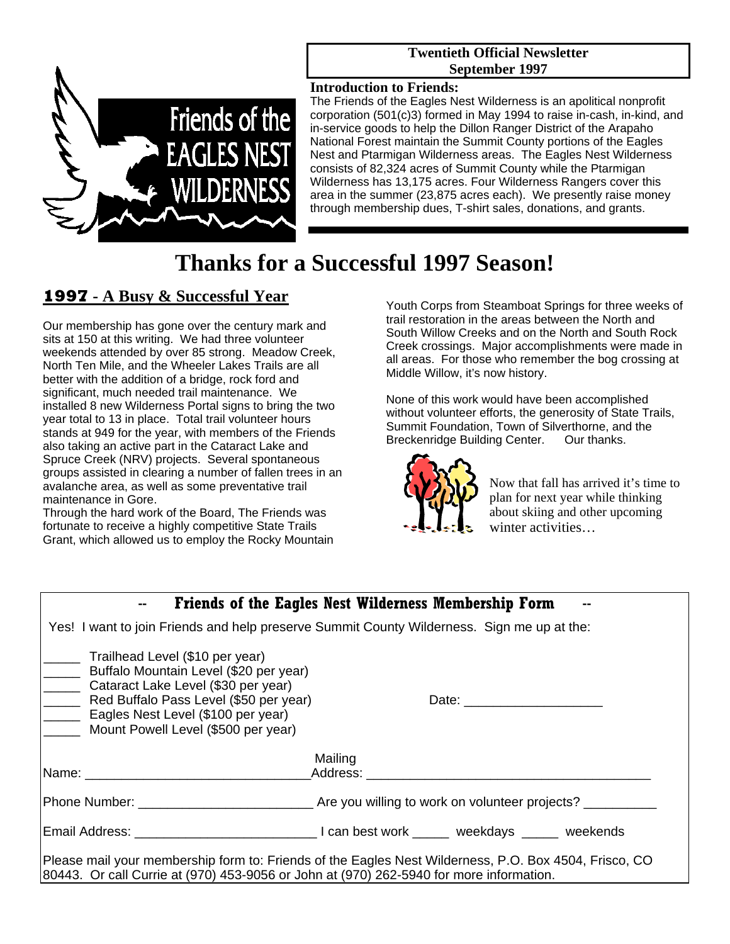#### **Twentieth Official Newsletter September 1997**



#### **Introduction to Friends:**

The Friends of the Eagles Nest Wilderness is an apolitical nonprofit corporation (501(c)3) formed in May 1994 to raise in-cash, in-kind, and in-service goods to help the Dillon Ranger District of the Arapaho National Forest maintain the Summit County portions of the Eagles Nest and Ptarmigan Wilderness areas. The Eagles Nest Wilderness consists of 82,324 acres of Summit County while the Ptarmigan Wilderness has 13,175 acres. Four Wilderness Rangers cover this area in the summer (23,875 acres each). We presently raise money through membership dues, T-shirt sales, donations, and grants.

# **Thanks for a Successful 1997 Season!**

## **1997 - A Busy & Successful Year**

Our membership has gone over the century mark and sits at 150 at this writing. We had three volunteer weekends attended by over 85 strong. Meadow Creek, North Ten Mile, and the Wheeler Lakes Trails are all better with the addition of a bridge, rock ford and significant, much needed trail maintenance. We installed 8 new Wilderness Portal signs to bring the two year total to 13 in place. Total trail volunteer hours stands at 949 for the year, with members of the Friends also taking an active part in the Cataract Lake and Spruce Creek (NRV) projects. Several spontaneous groups assisted in clearing a number of fallen trees in an avalanche area, as well as some preventative trail maintenance in Gore.

Through the hard work of the Board, The Friends was fortunate to receive a highly competitive State Trails Grant, which allowed us to employ the Rocky Mountain

Youth Corps from Steamboat Springs for three weeks of trail restoration in the areas between the North and South Willow Creeks and on the North and South Rock Creek crossings. Major accomplishments were made in all areas. For those who remember the bog crossing at Middle Willow, it's now history.

None of this work would have been accomplished without volunteer efforts, the generosity of State Trails, Summit Foundation, Town of Silverthorne, and the Breckenridge Building Center. Our thanks.



Now that fall has arrived it's time to plan for next year while thinking about skiing and other upcoming winter activities…

| <b>Friends of the Eagles Nest Wilderness Membership Form</b>                                                                                                                                                                            |                                                                       |
|-----------------------------------------------------------------------------------------------------------------------------------------------------------------------------------------------------------------------------------------|-----------------------------------------------------------------------|
| Yes! I want to join Friends and help preserve Summit County Wilderness. Sign me up at the:                                                                                                                                              |                                                                       |
| Trailhead Level (\$10 per year)<br>Buffalo Mountain Level (\$20 per year)<br>Cataract Lake Level (\$30 per year)<br>Red Buffalo Pass Level (\$50 per year)<br>Eagles Nest Level (\$100 per year)<br>Mount Powell Level (\$500 per year) |                                                                       |
|                                                                                                                                                                                                                                         | Mailing                                                               |
|                                                                                                                                                                                                                                         |                                                                       |
|                                                                                                                                                                                                                                         | Phone Number: National Are you willing to work on volunteer projects? |
|                                                                                                                                                                                                                                         |                                                                       |
| Please mail your membership form to: Friends of the Eagles Nest Wilderness, P.O. Box 4504, Frisco, CO<br>80443. Or call Currie at (970) 453-9056 or John at (970) 262-5940 for more information.                                        |                                                                       |